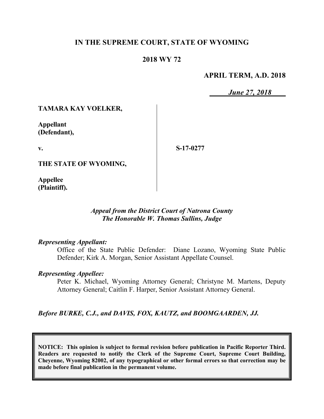# **IN THE SUPREME COURT, STATE OF WYOMING**

# **2018 WY 72**

### **APRIL TERM, A.D. 2018**

*June 27, 2018*

## **TAMARA KAY VOELKER,**

**Appellant (Defendant),**

**v.**

**S-17-0277**

**THE STATE OF WYOMING,**

**Appellee (Plaintiff).**

### *Appeal from the District Court of Natrona County The Honorable W. Thomas Sullins, Judge*

#### *Representing Appellant:*

Office of the State Public Defender: Diane Lozano, Wyoming State Public Defender; Kirk A. Morgan, Senior Assistant Appellate Counsel.

#### *Representing Appellee:*

Peter K. Michael, Wyoming Attorney General; Christyne M. Martens, Deputy Attorney General; Caitlin F. Harper, Senior Assistant Attorney General.

### *Before BURKE, C.J., and DAVIS, FOX, KAUTZ, and BOOMGAARDEN, JJ.*

**NOTICE: This opinion is subject to formal revision before publication in Pacific Reporter Third. Readers are requested to notify the Clerk of the Supreme Court, Supreme Court Building, Cheyenne, Wyoming 82002, of any typographical or other formal errors so that correction may be made before final publication in the permanent volume.**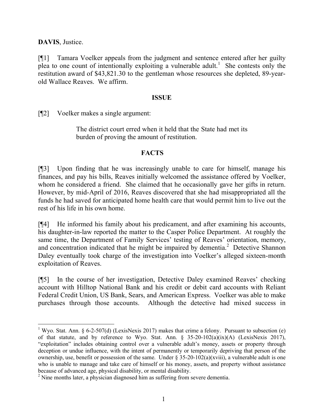**DAVIS**, Justice.

l

[¶1] Tamara Voelker appeals from the judgment and sentence entered after her guilty plea to one count of intentionally exploiting a vulnerable adult.<sup>1</sup> She contests only the restitution award of \$43,821.30 to the gentleman whose resources she depleted, 89-yearold Wallace Reaves. We affirm.

### **ISSUE**

[¶2] Voelker makes a single argument:

The district court erred when it held that the State had met its burden of proving the amount of restitution.

## **FACTS**

[¶3] Upon finding that he was increasingly unable to care for himself, manage his finances, and pay his bills, Reaves initially welcomed the assistance offered by Voelker, whom he considered a friend. She claimed that he occasionally gave her gifts in return. However, by mid-April of 2016, Reaves discovered that she had misappropriated all the funds he had saved for anticipated home health care that would permit him to live out the rest of his life in his own home.

[¶4] He informed his family about his predicament, and after examining his accounts, his daughter-in-law reported the matter to the Casper Police Department. At roughly the same time, the Department of Family Services' testing of Reaves' orientation, memory, and concentration indicated that he might be impaired by dementia.<sup>2</sup> Detective Shannon Daley eventually took charge of the investigation into Voelker's alleged sixteen-month exploitation of Reaves.

[¶5] In the course of her investigation, Detective Daley examined Reaves' checking account with Hilltop National Bank and his credit or debit card accounts with Reliant Federal Credit Union, US Bank, Sears, and American Express. Voelker was able to make purchases through those accounts. Although the detective had mixed success in

<sup>&</sup>lt;sup>1</sup> Wyo. Stat. Ann. § 6-2-507(d) (LexisNexis 2017) makes that crime a felony. Pursuant to subsection (e) of that statute, and by reference to Wyo. Stat. Ann. § 35-20-102(a)(ix)(A) (LexisNexis 2017), "exploitation" includes obtaining control over a vulnerable adult's money, assets or property through deception or undue influence, with the intent of permanently or temporarily depriving that person of the ownership, use, benefit or possession of the same. Under § 35-20-102(a)(xviii), a vulnerable adult is one who is unable to manage and take care of himself or his money, assets, and property without assistance because of advanced age, physical disability, or mental disability.

<sup>&</sup>lt;sup>2</sup> Nine months later, a physician diagnosed him as suffering from severe dementia.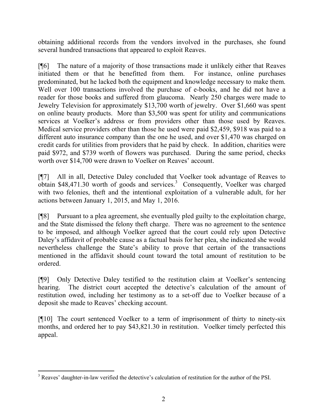obtaining additional records from the vendors involved in the purchases, she found several hundred transactions that appeared to exploit Reaves.

[¶6] The nature of a majority of those transactions made it unlikely either that Reaves initiated them or that he benefitted from them. For instance, online purchases predominated, but he lacked both the equipment and knowledge necessary to make them. Well over 100 transactions involved the purchase of e-books, and he did not have a reader for those books and suffered from glaucoma. Nearly 250 charges were made to Jewelry Television for approximately \$13,700 worth of jewelry. Over \$1,660 was spent on online beauty products. More than \$3,500 was spent for utility and communications services at Voelker's address or from providers other than those used by Reaves. Medical service providers other than those he used were paid \$2,459, \$918 was paid to a different auto insurance company than the one he used, and over \$1,470 was charged on credit cards for utilities from providers that he paid by check. In addition, charities were paid \$972, and \$739 worth of flowers was purchased. During the same period, checks worth over \$14,700 were drawn to Voelker on Reaves' account.

[¶7] All in all, Detective Daley concluded that Voelker took advantage of Reaves to obtain \$48,471.30 worth of goods and services.<sup>3</sup> Consequently, Voelker was charged with two felonies, theft and the intentional exploitation of a vulnerable adult, for her actions between January 1, 2015, and May 1, 2016.

[¶8] Pursuant to a plea agreement, she eventually pled guilty to the exploitation charge, and the State dismissed the felony theft charge. There was no agreement to the sentence to be imposed, and although Voelker agreed that the court could rely upon Detective Daley's affidavit of probable cause as a factual basis for her plea, she indicated she would nevertheless challenge the State's ability to prove that certain of the transactions mentioned in the affidavit should count toward the total amount of restitution to be ordered.

[¶9] Only Detective Daley testified to the restitution claim at Voelker's sentencing hearing. The district court accepted the detective's calculation of the amount of restitution owed, including her testimony as to a set-off due to Voelker because of a deposit she made to Reaves' checking account.

[¶10] The court sentenced Voelker to a term of imprisonment of thirty to ninety-six months, and ordered her to pay \$43,821.30 in restitution. Voelker timely perfected this appeal.

l <sup>3</sup> Reaves' daughter-in-law verified the detective's calculation of restitution for the author of the PSI.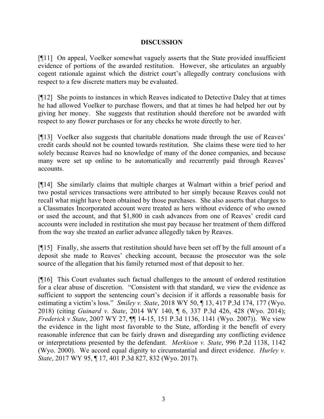# **DISCUSSION**

[¶11] On appeal, Voelker somewhat vaguely asserts that the State provided insufficient evidence of portions of the awarded restitution. However, she articulates an arguably cogent rationale against which the district court's allegedly contrary conclusions with respect to a few discrete matters may be evaluated.

[¶12] She points to instances in which Reaves indicated to Detective Daley that at times he had allowed Voelker to purchase flowers, and that at times he had helped her out by giving her money. She suggests that restitution should therefore not be awarded with respect to any flower purchases or for any checks he wrote directly to her.

[¶13] Voelker also suggests that charitable donations made through the use of Reaves' credit cards should not be counted towards restitution. She claims these were tied to her solely because Reaves had no knowledge of many of the donee companies, and because many were set up online to be automatically and recurrently paid through Reaves' accounts.

[¶14] She similarly claims that multiple charges at Walmart within a brief period and two postal services transactions were attributed to her simply because Reaves could not recall what might have been obtained by those purchases. She also asserts that charges to a Classmates Incorporated account were treated as hers without evidence of who owned or used the account, and that \$1,800 in cash advances from one of Reaves' credit card accounts were included in restitution she must pay because her treatment of them differed from the way she treated an earlier advance allegedly taken by Reaves.

[¶15] Finally, she asserts that restitution should have been set off by the full amount of a deposit she made to Reaves' checking account, because the prosecutor was the sole source of the allegation that his family returned most of that deposit to her.

[¶16] This Court evaluates such factual challenges to the amount of ordered restitution for a clear abuse of discretion. "Consistent with that standard, we view the evidence as sufficient to support the sentencing court's decision if it affords a reasonable basis for estimating a victim's loss." *Smiley v. State*, 2018 WY 50, ¶ 13, 417 P.3d 174, 177 (Wyo. 2018) (citing *Guinard v. State*, 2014 WY 140, ¶ 6, 337 P.3d 426, 428 (Wyo. 2014); *Frederick v State*, 2007 WY 27, ¶¶ 14-15, 151 P.3d 1136, 1141 (Wyo. 2007)). We view the evidence in the light most favorable to the State, affording it the benefit of every reasonable inference that can be fairly drawn and disregarding any conflicting evidence or interpretations presented by the defendant. *Merkison v. State*, 996 P.2d 1138, 1142 (Wyo. 2000). We accord equal dignity to circumstantial and direct evidence. *Hurley v. State*, 2017 WY 95, ¶ 17, 401 P.3d 827, 832 (Wyo. 2017).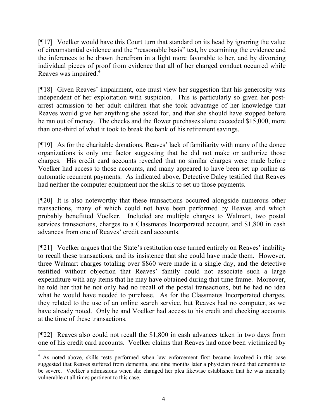[¶17] Voelker would have this Court turn that standard on its head by ignoring the value of circumstantial evidence and the "reasonable basis" test, by examining the evidence and the inferences to be drawn therefrom in a light more favorable to her, and by divorcing individual pieces of proof from evidence that all of her charged conduct occurred while Reaves was impaired.<sup>4</sup>

[¶18] Given Reaves' impairment, one must view her suggestion that his generosity was independent of her exploitation with suspicion. This is particularly so given her postarrest admission to her adult children that she took advantage of her knowledge that Reaves would give her anything she asked for, and that she should have stopped before he ran out of money. The checks and the flower purchases alone exceeded \$15,000, more than one-third of what it took to break the bank of his retirement savings.

[¶19] As for the charitable donations, Reaves' lack of familiarity with many of the donee organizations is only one factor suggesting that he did not make or authorize those charges. His credit card accounts revealed that no similar charges were made before Voelker had access to those accounts, and many appeared to have been set up online as automatic recurrent payments. As indicated above, Detective Daley testified that Reaves had neither the computer equipment nor the skills to set up those payments.

[¶20] It is also noteworthy that these transactions occurred alongside numerous other transactions, many of which could not have been performed by Reaves and which probably benefitted Voelker. Included are multiple charges to Walmart, two postal services transactions, charges to a Classmates Incorporated account, and \$1,800 in cash advances from one of Reaves' credit card accounts.

[¶21] Voelker argues that the State's restitution case turned entirely on Reaves' inability to recall these transactions, and its insistence that she could have made them. However, three Walmart charges totaling over \$860 were made in a single day, and the detective testified without objection that Reaves' family could not associate such a large expenditure with any items that he may have obtained during that time frame. Moreover, he told her that he not only had no recall of the postal transactions, but he had no idea what he would have needed to purchase. As for the Classmates Incorporated charges, they related to the use of an online search service, but Reaves had no computer, as we have already noted. Only he and Voelker had access to his credit and checking accounts at the time of these transactions.

[¶22] Reaves also could not recall the \$1,800 in cash advances taken in two days from one of his credit card accounts. Voelker claims that Reaves had once been victimized by

l

<sup>&</sup>lt;sup>4</sup> As noted above, skills tests performed when law enforcement first became involved in this case suggested that Reaves suffered from dementia, and nine months later a physician found that dementia to be severe. Voelker's admissions when she changed her plea likewise established that he was mentally vulnerable at all times pertinent to this case.